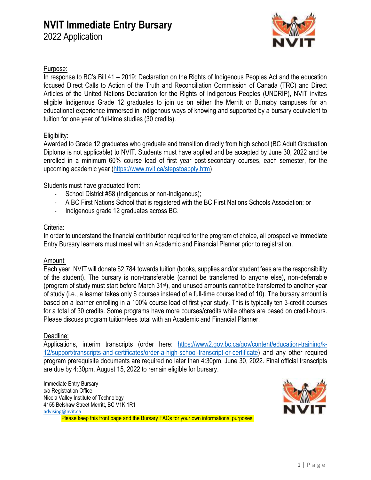# **NVIT Immediate Entry Bursary**

2022 Application



### Purpose:

In response to BC's Bill 41 – 2019: Declaration on the Rights of Indigenous Peoples Act and the education focused Direct Calls to Action of the Truth and Reconciliation Commission of Canada (TRC) and Direct Articles of the United Nations Declaration for the Rights of Indigenous Peoples (UNDRIP), NVIT invites eligible Indigenous Grade 12 graduates to join us on either the Merritt or Burnaby campuses for an educational experience immersed in Indigenous ways of knowing and supported by a bursary equivalent to tuition for one year of full-time studies (30 credits).

### Eligibility:

Awarded to Grade 12 graduates who graduate and transition directly from high school (BC Adult Graduation Diploma is not applicable) to NVIT. Students must have applied and be accepted by June 30, 2022 and be enrolled in a minimum 60% course load of first year post-secondary courses, each semester, for the upcoming academic year [\(https://www.nvit.ca/stepstoapply.htm\)](https://www.nvit.ca/stepstoapply.htm)

Students must have graduated from:

- School District #58 (Indigenous or non-Indigenous);
- A BC First Nations School that is registered with the BC First Nations Schools Association; or
- Indigenous grade 12 graduates across BC.

### Criteria:

In order to understand the financial contribution required for the program of choice, all prospective Immediate Entry Bursary learners must meet with an Academic and Financial Planner prior to registration.

#### Amount:

Each year, NVIT will donate \$2,784 towards tuition (books, supplies and/or student fees are the responsibility of the student). The bursary is non-transferable (cannot be transferred to anyone else), non-deferrable (program of study must start before March 31st), and unused amounts cannot be transferred to another year of study (i.e., a learner takes only 6 courses instead of a full-time course load of 10). The bursary amount is based on a learner enrolling in a 100% course load of first year study. This is typically ten 3-credit courses for a total of 30 credits. Some programs have more courses/credits while others are based on credit-hours. Please discuss program tuition/fees total with an Academic and Financial Planner.

#### Deadline:

Applications, interim transcripts (order here: [https://www2.gov.bc.ca/gov/content/education-training/k-](https://www2.gov.bc.ca/gov/content/education-training/k-12/support/transcripts-and-certificates/order-a-high-school-transcript-or-certificate)[12/support/transcripts-and-certificates/order-a-high-school-transcript-or-certificate\)](https://www2.gov.bc.ca/gov/content/education-training/k-12/support/transcripts-and-certificates/order-a-high-school-transcript-or-certificate) and any other required program prerequisite documents are required no later than 4:30pm, June 30, 2022. Final official transcripts are due by 4:30pm, August 15, 2022 to remain eligible for bursary.

Immediate Entry Bursary c/o Registration Office Nicola Valley Institute of Technology 4155 Belshaw Street Merritt, BC V1K 1R1 [advising@nvit.ca](mailto:advising@nvit.ca) Please keep this front page and the Bursary FAQs for your own informational purposes.

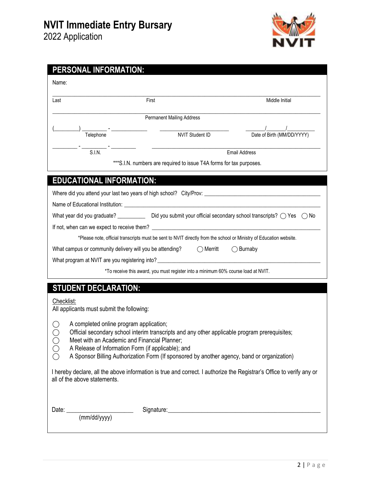

| Name:                                                    |                                                                                                                     |                                                                                                                      |
|----------------------------------------------------------|---------------------------------------------------------------------------------------------------------------------|----------------------------------------------------------------------------------------------------------------------|
| Last                                                     | First                                                                                                               | Middle Initial                                                                                                       |
|                                                          | <b>Permanent Mailing Address</b>                                                                                    |                                                                                                                      |
| Telephone                                                | NVIT Student ID                                                                                                     | Date of Birth (MM/DD/YYYY)                                                                                           |
| S.I.N.                                                   | <u> 1980 - Jan Barbara, manazarta bashkar t</u>                                                                     | <b>Email Address</b>                                                                                                 |
|                                                          | *** S.I.N. numbers are required to issue T4A forms for tax purposes.                                                |                                                                                                                      |
| <b>EDUCATIONAL INFORMATION:</b>                          |                                                                                                                     |                                                                                                                      |
|                                                          |                                                                                                                     |                                                                                                                      |
|                                                          |                                                                                                                     |                                                                                                                      |
|                                                          | What year did you graduate? Did you submit your official secondary school transcripts? $\bigcirc$ Yes $\bigcirc$ No |                                                                                                                      |
|                                                          |                                                                                                                     |                                                                                                                      |
|                                                          | *Please note, official transcripts must be sent to NVIT directly from the school or Ministry of Education website.  |                                                                                                                      |
| What campus or community delivery will you be attending? | $\bigcirc$ Merritt                                                                                                  | $\bigcirc$ Burnaby                                                                                                   |
|                                                          |                                                                                                                     |                                                                                                                      |
|                                                          | *To receive this award, you must register into a minimum 60% course load at NVIT.                                   |                                                                                                                      |
| <b>STUDENT DECLARATION:</b>                              |                                                                                                                     |                                                                                                                      |
| Checklist:<br>All applicants must submit the following:  |                                                                                                                     |                                                                                                                      |
|                                                          |                                                                                                                     |                                                                                                                      |
| A completed online program application;                  | Official secondary school interim transcripts and any other applicable program prerequisites;                       |                                                                                                                      |
| OOOO<br>Meet with an Academic and Financial Planner;     |                                                                                                                     |                                                                                                                      |
| A Release of Information Form (if applicable); and       |                                                                                                                     |                                                                                                                      |
|                                                          | A Sponsor Billing Authorization Form (If sponsored by another agency, band or organization)                         |                                                                                                                      |
| all of the above statements.                             |                                                                                                                     | I hereby declare, all the above information is true and correct. I authorize the Registrar's Office to verify any or |
|                                                          |                                                                                                                     |                                                                                                                      |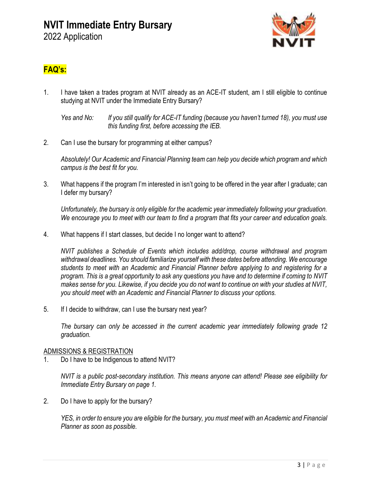

# **FAQ's:**

1. I have taken a trades program at NVIT already as an ACE-IT student, am I still eligible to continue studying at NVIT under the Immediate Entry Bursary?

2. Can I use the bursary for programming at either campus?

*Absolutely! Our Academic and Financial Planning team can help you decide which program and which campus is the best fit for you.*

3. What happens if the program I'm interested in isn't going to be offered in the year after I graduate; can I defer my bursary?

*Unfortunately, the bursary is only eligible for the academic year immediately following your graduation. We encourage you to meet with our team to find a program that fits your career and education goals.*

4. What happens if I start classes, but decide I no longer want to attend?

*NVIT publishes a Schedule of Events which includes add/drop, course withdrawal and program withdrawal deadlines. You should familiarize yourself with these dates before attending. We encourage students to meet with an Academic and Financial Planner before applying to and registering for a program. This is a great opportunity to ask any questions you have and to determine if coming to NVIT makes sense for you. Likewise, if you decide you do not want to continue on with your studies at NVIT, you should meet with an Academic and Financial Planner to discuss your options.*

5. If I decide to withdraw, can I use the bursary next year?

*The bursary can only be accessed in the current academic year immediately following grade 12 graduation.*

### ADMISSIONS & REGISTRATION

1. Do I have to be Indigenous to attend NVIT?

*NVIT is a public post-secondary institution. This means anyone can attend! Please see eligibility for Immediate Entry Bursary on page 1.*

2. Do I have to apply for the bursary?

*YES, in order to ensure you are eligible for the bursary, you must meet with an Academic and Financial Planner as soon as possible.*

*Yes and No: If you still qualify for ACE-IT funding (because you haven't turned 18), you must use this funding first, before accessing the IEB.*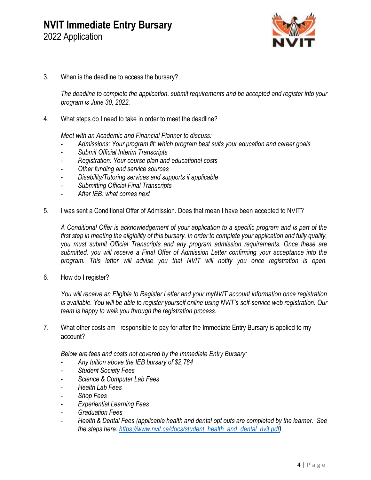# **NVIT Immediate Entry Bursary** 2022 Application



3. When is the deadline to access the bursary?

*The deadline to complete the application, submit requirements and be accepted and register into your program is June 30, 2022.*

4. What steps do I need to take in order to meet the deadline?

*Meet with an Academic and Financial Planner to discuss:*

- *Admissions: Your program fit: which program best suits your education and career goals*
- *Submit Official Interim Transcripts*
- *Registration: Your course plan and educational costs*
- *Other funding and service sources*
- *Disability/Tutoring services and supports if applicable*
- *Submitting Official Final Transcripts*
- *After IEB: what comes next*
- 5. I was sent a Conditional Offer of Admission. Does that mean I have been accepted to NVIT?

*A Conditional Offer is acknowledgement of your application to a specific program and is part of the first step in meeting the eligibility of this bursary. In order to complete your application and fully qualify, you must submit Official Transcripts and any program admission requirements. Once these are submitted, you will receive a Final Offer of Admission Letter confirming your acceptance into the program. This letter will advise you that NVIT will notify you once registration is open.*

6. How do I register?

*You will receive an Eligible to Register Letter and your myNVIT account information once registration is available. You will be able to register yourself online using NVIT's self-service web registration. Our team is happy to walk you through the registration process.*

7. What other costs am I responsible to pay for after the Immediate Entry Bursary is applied to my account?

*Below are fees and costs not covered by the Immediate Entry Bursary:*

- *Any tuition above the IEB bursary of \$2,784*
- *Student Society Fees*
- *Science & Computer Lab Fees*
- *Health Lab Fees*
- *Shop Fees*
- *Experiential Learning Fees*
- *Graduation Fees*
- *Health & Dental Fees (applicable health and dental opt outs are completed by the learner. See the steps here: [https://www.nvit.ca/docs/student\\_health\\_and\\_dental\\_nvit.pdf\)](https://www.nvit.ca/docs/student_health_and_dental_nvit.pdf)*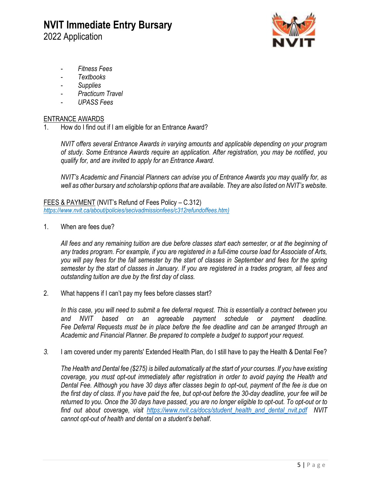# **NVIT Immediate Entry Bursary** 2022 Application



- *Fitness Fees*
- *Textbooks*
- *Supplies*
- *Practicum Travel*
- *UPASS Fees*

#### ENTRANCE AWARDS

1. How do I find out if I am eligible for an Entrance Award?

*NVIT offers several Entrance Awards in varying amounts and applicable depending on your program of study. Some Entrance Awards require an application. After registration, you may be notified, you qualify for, and are invited to apply for an Entrance Award.*

*NVIT's Academic and Financial Planners can advise you of Entrance Awards you may qualify for, as well as other bursary and scholarship options that are available. They are also listed on NVIT's website.*

FEES & PAYMENT (NVIT's Refund of Fees Policy – C.312) *[https://www.nvit.ca/about/policies/secivadmissionfees/c312refundoffees.htm\)](https://www.nvit.ca/about/policies/secivadmissionfees/c312refundoffees.htm)*

1. When are fees due?

*All fees and any remaining tuition are due before classes start each semester, or at the beginning of any trades program. For example, if you are registered in a full-time course load for Associate of Arts, you will pay fees for the fall semester by the start of classes in September and fees for the spring semester by the start of classes in January. If you are registered in a trades program, all fees and outstanding tuition are due by the first day of class.*

2. What happens if I can't pay my fees before classes start?

*In this case, you will need to submit a fee deferral request. This is essentially a contract between you and NVIT based on an agreeable payment schedule or payment deadline. Fee Deferral Requests must be in place before the fee deadline and can be arranged through an Academic and Financial Planner. Be prepared to complete a budget to support your request.*

*3.* I am covered under my parents' Extended Health Plan, do I still have to pay the Health & Dental Fee?

*The Health and Dental fee (\$275) is billed automatically at the start of your courses. If you have existing coverage, you must opt-out immediately after registration in order to avoid paying the Health and Dental Fee. Although you have 30 days after classes begin to opt-out, payment of the fee is due on the first day of class. If you have paid the fee, but opt-out before the 30-day deadline, your fee will be returned to you. Once the 30 days have passed, you are no longer eligible to opt-out. To opt-out or to find out about coverage, visit [https://www.nvit.ca/docs/student\\_health\\_and\\_dental\\_nvit.pdf](https://www.nvit.ca/docs/student_health_and_dental_nvit.pdf) NVIT cannot opt-out of health and dental on a student's behalf.*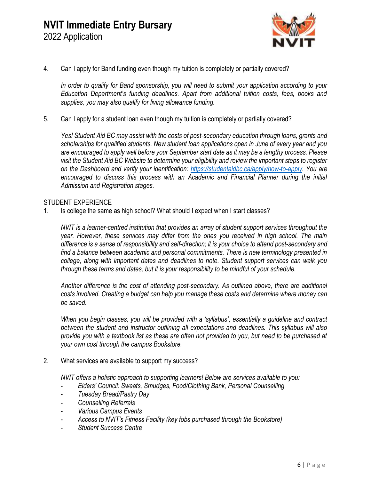

4. Can I apply for Band funding even though my tuition is completely or partially covered?

*In order to qualify for Band sponsorship, you will need to submit your application according to your Education Department's funding deadlines. Apart from additional tuition costs, fees, books and supplies, you may also qualify for living allowance funding.*

5. Can I apply for a student loan even though my tuition is completely or partially covered?

*Yes! Student Aid BC may assist with the costs of post-secondary education through loans, grants and scholarships for qualified students. New student loan applications open in June of every year and you are encouraged to apply well before your September start date as it may be a lengthy process. Please visit the Student Aid BC Website to determine your eligibility and review the important steps to register on the Dashboard and verify your identification: [https://studentaidbc.ca/apply/how-to-apply.](https://studentaidbc.ca/apply/how-to-apply) You are encouraged to discuss this process with an Academic and Financial Planner during the initial Admission and Registration stages.*

#### **STUDENT EXPERIENCE**

1. Is college the same as high school? What should I expect when I start classes?

*NVIT is a learner-centred institution that provides an array of student support services throughout the year. However, these services may differ from the ones you received in high school. The main difference is a sense of responsibility and self-direction; it is your choice to attend post-secondary and find a balance between academic and personal commitments. There is new terminology presented in college, along with important dates and deadlines to note. Student support services can walk you through these terms and dates, but it is your responsibility to be mindful of your schedule.*

*Another difference is the cost of attending post-secondary. As outlined above, there are additional costs involved. Creating a budget can help you manage these costs and determine where money can be saved.*

*When you begin classes, you will be provided with a 'syllabus', essentially a guideline and contract between the student and instructor outlining all expectations and deadlines. This syllabus will also provide you with a textbook list as these are often not provided to you, but need to be purchased at your own cost through the campus Bookstore.*

2. What services are available to support my success?

*NVIT offers a holistic approach to supporting learners! Below are services available to you:*

- *Elders' Council: Sweats, Smudges, Food/Clothing Bank, Personal Counselling*
- *Tuesday Bread/Pastry Day*
- *Counselling Referrals*
- *Various Campus Events*
- *Access to NVIT's Fitness Facility (key fobs purchased through the Bookstore)*
- *Student Success Centre*